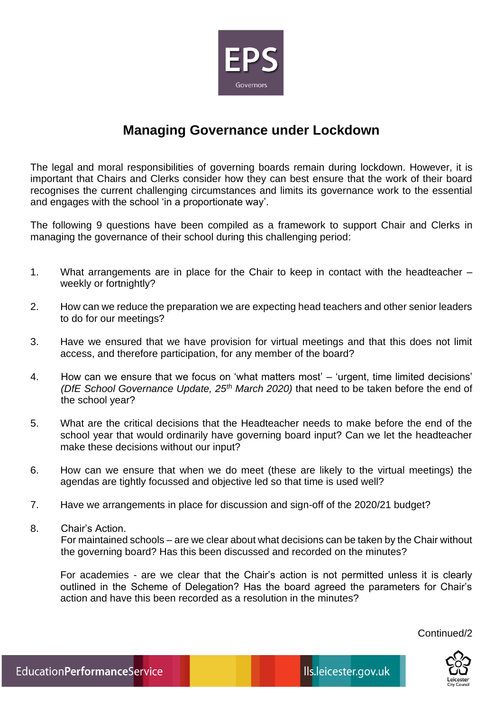

## **Managing Governance under Lockdown**

The legal and moral responsibilities of governing boards remain during lockdown. However, it is important that Chairs and Clerks consider how they can best ensure that the work of their board recognises the current challenging circumstances and limits its governance work to the essential and engages with the school 'in a proportionate way'.

The following 9 questions have been compiled as a framework to support Chair and Clerks in managing the governance of their school during this challenging period:

- 1. What arrangements are in place for the Chair to keep in contact with the headteacher weekly or fortnightly?
- 2. How can we reduce the preparation we are expecting head teachers and other senior leaders to do for our meetings?
- 3. Have we ensured that we have provision for virtual meetings and that this does not limit access, and therefore participation, for any member of the board?
- 4. How can we ensure that we focus on 'what matters most' 'urgent, time limited decisions' *(DfE School Governance Update, 25th March 2020)* that need to be taken before the end of the school year?
- 5. What are the critical decisions that the Headteacher needs to make before the end of the school year that would ordinarily have governing board input? Can we let the headteacher make these decisions without our input?
- 6. How can we ensure that when we do meet (these are likely to the virtual meetings) the agendas are tightly focussed and objective led so that time is used well?
- 7. Have we arrangements in place for discussion and sign-off of the 2020/21 budget?
- 8. Chair's Action.

For maintained schools – are we clear about what decisions can be taken by the Chair without the governing board? Has this been discussed and recorded on the minutes?

For academies - are we clear that the Chair's action is not permitted unless it is clearly outlined in the Scheme of Delegation? Has the board agreed the parameters for Chair's action and have this been recorded as a resolution in the minutes?

Continued/2

 $\mathbf{r}$